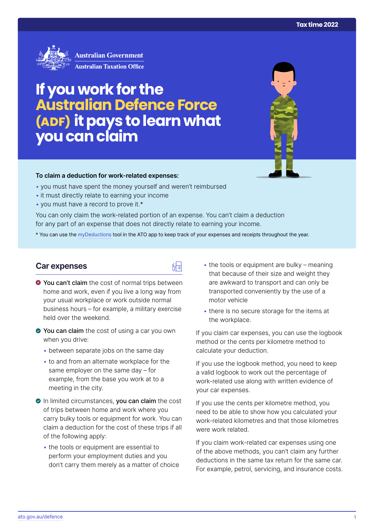

# **If you work for the Australian Defence Force (ADF) it pays to learn what you can claim**



#### **To claim a deduction for work‑related expenses:**

- you must have spent the money yourself and weren't reimbursed
- it must directly relate to earning your income
- you must have a record to prove it.\*

You can only claim the work-related portion of an expense. You can't claim a deduction for any part of an expense that does not directly relate to earning your income.

\* You can use the [myDeductions](https://ato.gov.au/mydeductions) tool in the ATO app to keep track of your expenses and receipts throughout the year.

品

## **Car expenses**

- $\bullet$  You can't claim the cost of normal trips between home and work, even if you live a long way from your usual workplace or work outside normal business hours – for example, a military exercise held over the weekend.
- ◆ You can claim the cost of using a car you own when you drive:
	- between separate jobs on the same day
	- to and from an alternate workplace for the same employer on the same day – for example, from the base you work at to a meeting in the city.
- In limited circumstances, you can claim the cost of trips between home and work where you carry bulky tools or equipment for work. You can claim a deduction for the cost of these trips if all of the following apply:
	- the tools or equipment are essential to perform your employment duties and you don't carry them merely as a matter of choice
- $\bullet$  the tools or equipment are bulky meaning that because of their size and weight they are awkward to transport and can only be transported conveniently by the use of a motor vehicle
- there is no secure storage for the items at the workplace.

If you claim car expenses, you can use the logbook method or the cents per kilometre method to calculate your deduction.

If you use the logbook method, you need to keep a valid logbook to work out the percentage of work-related use along with written evidence of your car expenses.

If you use the cents per kilometre method, you need to be able to show how you calculated your work-related kilometres and that those kilometres were work related.

If you claim work-related car expenses using one of the above methods, you can't claim any further deductions in the same tax return for the same car. For example, petrol, servicing, and insurance costs.